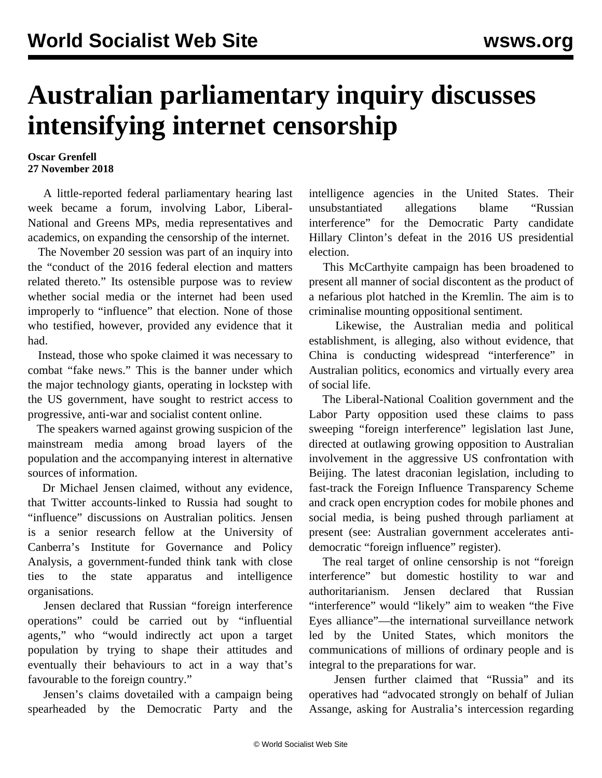## **Australian parliamentary inquiry discusses intensifying internet censorship**

## **Oscar Grenfell 27 November 2018**

 A little-reported federal parliamentary hearing last week became a forum, involving Labor, Liberal-National and Greens MPs, media representatives and academics, on expanding the censorship of the internet.

 The November 20 session was part of an inquiry into the "conduct of the 2016 federal election and matters related thereto." Its ostensible purpose was to review whether social media or the internet had been used improperly to "influence" that election. None of those who testified, however, provided any evidence that it had.

 Instead, those who spoke claimed it was necessary to combat "fake news." This is the banner under which the major technology giants, operating in lockstep with the US government, have sought to restrict access to progressive, anti-war and socialist content online.

 The speakers warned against growing suspicion of the mainstream media among broad layers of the population and the accompanying interest in alternative sources of information.

 Dr Michael Jensen claimed, without any evidence, that Twitter accounts-linked to Russia had sought to "influence" discussions on Australian politics. Jensen is a senior research fellow at the University of Canberra's Institute for Governance and Policy Analysis, a government-funded think tank with close ties to the state apparatus and intelligence organisations.

 Jensen declared that Russian "foreign interference operations" could be carried out by "influential agents," who "would indirectly act upon a target population by trying to shape their attitudes and eventually their behaviours to act in a way that's favourable to the foreign country."

 Jensen's claims dovetailed with a campaign being spearheaded by the Democratic Party and the intelligence agencies in the United States. Their unsubstantiated allegations blame "Russian interference" for the Democratic Party candidate Hillary Clinton's defeat in the 2016 US presidential election.

 This McCarthyite campaign has been broadened to present all manner of social discontent as the product of a nefarious plot hatched in the Kremlin. The aim is to criminalise mounting oppositional sentiment.

 Likewise, the Australian media and political establishment, is alleging, also without evidence, that China is conducting widespread "interference" in Australian politics, economics and virtually every area of social life.

 The Liberal-National Coalition government and the Labor Party opposition used these claims to pass sweeping "foreign interference" legislation last June, directed at outlawing growing opposition to Australian involvement in the aggressive US confrontation with Beijing. The latest draconian legislation, including to fast-track the Foreign Influence Transparency Scheme and crack open encryption codes for mobile phones and social media, is being pushed through parliament at present (see: [Australian government accelerates anti](/en/articles/2018/11/26/inte-n26.html)[democratic "foreign influence" register\)](/en/articles/2018/11/26/inte-n26.html).

 The real target of online censorship is not "foreign interference" but domestic hostility to war and authoritarianism. Jensen declared that Russian "interference" would "likely" aim to weaken "the Five Eyes alliance"—the international surveillance network led by the United States, which monitors the communications of millions of ordinary people and is integral to the preparations for war.

 Jensen further claimed that "Russia" and its operatives had "advocated strongly on behalf of Julian Assange, asking for Australia's intercession regarding